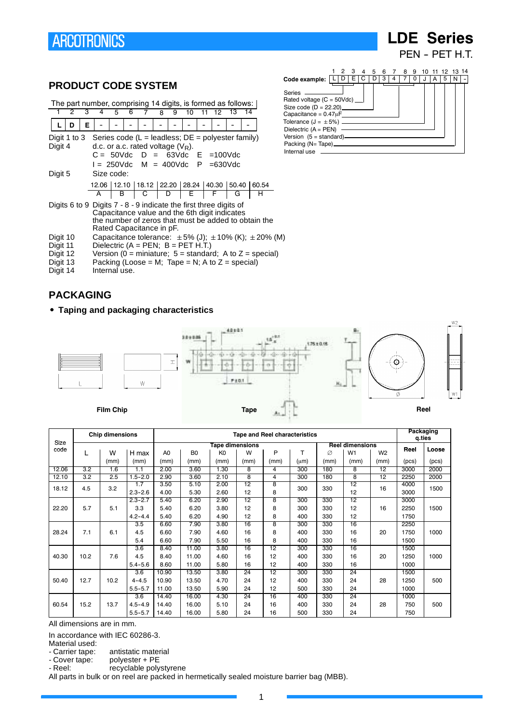# **LDE Series**

PEN - PET H.T.

### **PRODUCT CODE SYSTEM**

|                                                                                                                                                                                                          |              |   |            |   |   | The part number, comprising 14 digits, is formed as follows:                                                                                                                  |   |   |    |  |    |    |    |   |
|----------------------------------------------------------------------------------------------------------------------------------------------------------------------------------------------------------|--------------|---|------------|---|---|-------------------------------------------------------------------------------------------------------------------------------------------------------------------------------|---|---|----|--|----|----|----|---|
|                                                                                                                                                                                                          | 2            | з |            | 5 | 6 |                                                                                                                                                                               | 8 | 9 | 10 |  | 12 | 13 | 14 |   |
|                                                                                                                                                                                                          | n            | Е |            |   |   |                                                                                                                                                                               |   |   |    |  |    |    |    |   |
| Digit 4                                                                                                                                                                                                  | Digit 1 to 3 |   |            |   |   | Series code (L = leadless; $DE = polyester family$ )<br>d.c. or a.c. rated voltage $(V_R)$ .<br>$C = 50$ Vdc $D = 63$ Vdc $E = 100$ Vdc<br>$I = 250$ Vdc M = 400Vdc P =630Vdc |   |   |    |  |    |    |    |   |
| Digit 5                                                                                                                                                                                                  |              |   | Size code: |   |   | 12.06 12.10 18.12 22.20 28.24 40.30 50.40 60.54                                                                                                                               |   |   |    |  |    |    |    |   |
|                                                                                                                                                                                                          |              |   | A          |   | B | $\overline{C}$                                                                                                                                                                | D |   | E. |  | F  | G  |    | н |
| Digits 6 to 9 Digits $7 - 8 - 9$ indicate the first three digits of<br>Capacitance value and the 6th digit indicates<br>the number of zeros that must be added to obtain the<br>Rated Capacitance in pF. |              |   |            |   |   |                                                                                                                                                                               |   |   |    |  |    |    |    |   |
| Capacitance tolerance: $\pm 5\%$ (J); $\pm 10\%$ (K); $\pm 20\%$ (M)<br>Digit 10                                                                                                                         |              |   |            |   |   |                                                                                                                                                                               |   |   |    |  |    |    |    |   |



- Digit 11 Dielectric ( $A = PEN$ ;  $B = PET H.T$ .)<br>Digit 12 Version (0 = miniature; 5 = standar
- Digit 12 Version ( $0 = \text{minature}$ ; 5 = standard; A to Z = special)<br>Digit 13 Packing (Loose = M; Tape = N; A to Z = special) Digit 13 Packing (Loose = M; Tape = N; A to  $Z =$  special)<br>Digit 14 Internal use.
- Internal use.

### **PACKAGING**

**• Taping and packaging characteristics** 





|       |      | <b>Chip dimensions</b> |             |                |                |                 |                 | <b>Tape and Reel characteristics</b> |           |      |                        |                 | <b>Packaging</b><br>q.ties |       |
|-------|------|------------------------|-------------|----------------|----------------|-----------------|-----------------|--------------------------------------|-----------|------|------------------------|-----------------|----------------------------|-------|
| Size  |      |                        |             |                |                | Tape dimensions |                 |                                      |           |      | <b>Reel dimensions</b> |                 |                            |       |
| code  |      | W                      | H max       | A <sub>0</sub> | B <sub>0</sub> | K <sub>0</sub>  | W               | P                                    | т         | Ø    | W <sub>1</sub>         | W <sub>2</sub>  | Reel                       | Loose |
|       |      | (mm)                   | (mm)        | (mm)           | (mm)           | (mm)            | (mm)            | (mm)                                 | $(\mu m)$ | (mm) | (mm)                   | (mm)            | (pcs)                      | (pcs) |
| 12.06 | 3.2  | 1.6                    | 1.1         | 2.00           | 3.60           | 1.30            | 8               | 4                                    | 300       | 180  | 8                      | 12              | 3000                       | 2000  |
| 12.10 | 3.2  | 2.5                    | $1.5 - 2.0$ | 2.90           | 3.60           | 2.10            | 8               | 4                                    | 300       | 180  | 8                      | $\overline{12}$ | 2250                       | 2000  |
| 18.12 | 4.5  | 3.2                    | 1.7         | 3.50           | 5.10           | 2.00            | $\overline{12}$ | 8                                    | 300       | 330  | $\overline{12}$        | 16              | 4000                       | 1500  |
|       |      |                        | $2.3 - 2.6$ | 4.00           | 5.30           | 2.60            | 12              | 8                                    |           |      | 12                     |                 | 3000                       |       |
|       |      |                        | $2.3 - 2.7$ | 5.40           | 6.20           | 2.90            | $\overline{12}$ | 8                                    | 300       | 330  | $\overline{12}$        |                 | 3000                       |       |
| 22.20 | 5.7  | 5.1                    | 3.3         | 5.40           | 6.20           | 3.80            | 12              | 8                                    | 300       | 330  | 12                     | 16              | 2250                       | 1500  |
|       |      |                        | $4.2 - 4.4$ | 5.40           | 6.20           | 4.90            | 12              | 8                                    | 400       | 330  | 12                     |                 | 1750                       |       |
|       |      |                        | 3.5         | 6.60           | 7.90           | 3.80            | 16              | 8                                    | 300       | 330  | 16                     |                 | 2250                       |       |
| 28.24 | 7.1  | 6.1                    | 4.5         | 6.60           | 7.90           | 4.60            | 16              | 8                                    | 400       | 330  | 16                     | 20              | 1750                       | 1000  |
|       |      |                        | 5.4         | 6.60           | 7.90           | 5.50            | 16              | 8                                    | 400       | 330  | 16                     |                 | 1500                       |       |
|       |      |                        | 3.6         | 8.40           | 11.00          | 3.80            | 16              | $\overline{12}$                      | 300       | 330  | 16                     |                 | 1500                       |       |
| 40.30 | 10.2 | 7.6                    | 4.5         | 8.40           | 11.00          | 4.60            | 16              | 12                                   | 400       | 330  | 16                     | 20              | 1250                       | 1000  |
|       |      |                        | $5.4 - 5.6$ | 8.60           | 11.00          | 5.80            | 16              | 12                                   | 400       | 330  | 16                     |                 | 1000                       |       |
|       |      |                        | 3.6         | 10.90          | 13.50          | 3.80            | 24              | 12                                   | 300       | 330  | 24                     |                 | 1500                       |       |
| 50.40 | 12.7 | 10.2                   | $4 - 4.5$   | 10.90          | 13.50          | 4.70            | 24              | 12                                   | 400       | 330  | 24                     | 28              | 1250                       | 500   |
|       |      |                        | $5.5 - 5.7$ | 11.00          | 13.50          | 5.90            | 24              | 12                                   | 500       | 330  | 24                     |                 | 1000                       |       |
|       |      |                        | 3.6         | 14.40          | 16.00          | 4.30            | 24              | 16                                   | 400       | 330  | 24                     |                 | 1000                       |       |
| 60.54 | 15.2 | 13.7                   | $4.5 - 4.9$ | 14.40          | 16.00          | 5.10            | 24              | 16                                   | 400       | 330  | 24                     | 28              | 750                        | 500   |
|       |      |                        | $5.5 - 5.7$ | 14.40          | 16.00          | 5.80            | 24              | 16                                   | 500       | 330  | 24                     |                 | 750                        |       |

All dimensions are in mm.

In accordance with IEC 60286-3.

Material used:<br>- Carrier tape:

- Carrier tape: antistatic material<br>- Cover tape: polyester + PE

polyester + PE

- Reel: recyclable polystyrene

All parts in bulk or on reel are packed in hermetically sealed moisture barrier bag (MBB).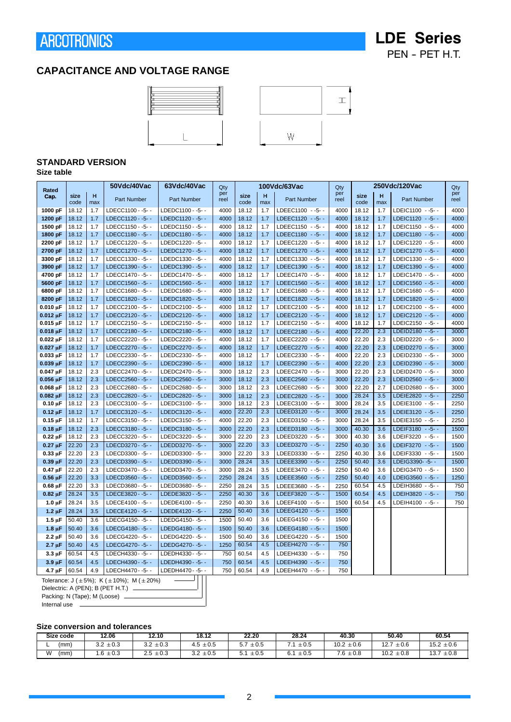## **LDE Series** PEN - PET H.T.

### **CAPACITANCE AND VOLTAGE RANGE**





### **STANDARD VERSION**

**Size table**

| Rated                                                   |                |            | 50Vdc/40Vac                                                   | 63Vdc/40Vac                          | Qty          |                |            | 100Vdc/63Vac                               | Qty          |                |            | 250Vdc/120Vac                              | Qty          |
|---------------------------------------------------------|----------------|------------|---------------------------------------------------------------|--------------------------------------|--------------|----------------|------------|--------------------------------------------|--------------|----------------|------------|--------------------------------------------|--------------|
| Cap.                                                    | size<br>code   | н<br>max   | Part Number                                                   | Part Number                          | per<br>reel  | size<br>code   | H<br>max   | Part Number                                | per<br>reel  | size<br>code   | н<br>max   | Part Number                                | per<br>reel  |
| 1000 pF                                                 | 18.12          | 1.7        | LDECC1100 - - 5 --                                            | LDEDC1100 - - 5 - -                  | 4000         | 18.12          | 1.7        | LDEEC1100 -- 5--                           | 4000         | 18.12          | 1.7        | LDEIC1100 - - 5 - -                        | 4000         |
| 1200 pF                                                 | 18.12          | 1.7        | LDECC1120 - - 5 --                                            | LDEDC1120 - - 5 - -                  | 4000         | 18.12          | 1.7        | LDEEC1120 - - 5 - -                        | 4000         | 18.12          | 1.7        | LDEIC1120 - - 5 - -                        | 4000         |
| 1500 pF                                                 | 18.12          | 1.7        | LDECC1150 - -5- -                                             | LDEDC1150 - -5- -                    | 4000         | 18.12          | 1.7        | LDEEC1150 -- 5--                           | 4000         | 18.12          | 1.7        | LDEIC1150 - - 5 - -                        | 4000         |
| 1800 pF                                                 | 18.12          | 1.7        | LDECC1180 - -5- -                                             | LDEDC1180 - -5- -                    | 4000         | 18.12          | 1.7        | LDEEC1180 -- 5- -                          | 4000         | 18.12          | 1.7        | LDEIC1180 - - 5 - -                        | 4000         |
| 2200 pF                                                 | 18.12          | 1.7        | LDECC1220 - - 5 - -                                           | LDEDC1220 - - 5 - -                  | 4000         | 18.12          | 1.7        | LDEEC1220 - - 5 - -                        | 4000         | 18.12          | 1.7        | LDEIC1220 - - 5 - -                        | 4000         |
| 2700 pF                                                 | 18.12          | 1.7        | LDECC1270 - - 5 - -                                           | LDEDC1270 - - 5 --                   | 4000         | 18.12          | 1.7        | LDEEC1270 - - 5 - -                        | 4000         | 18.12          | 1.7        | LDEIC1270 - - 5 - -                        | 4000         |
| 3300 pF                                                 | 18.12          | 1.7        | LDECC1330 - -5- -                                             | LDEDC1330 - - 5 - -                  | 4000         | 18.12          | 1.7        | LDEEC1330 - - 5 - -                        | 4000         | 18.12          | 1.7        | LDEIC1330 - - 5 - -                        | 4000         |
| 3900 pF                                                 | 18.12          | 1.7        | LDECC1390 - - 5 - -                                           | LDEDC1390 - - 5 - -                  | 4000         | 18.12          | 1.7        | LDEEC1390 - - 5 - -                        | 4000         | 18.12          | 1.7        | LDEIC1390 - - 5 - -                        | 4000         |
| 4700 pF                                                 | 18.12          | 1.7        | LDECC1470 - - 5 - -                                           | LDEDC1470 - - 5 --                   | 4000         | 18.12          | 1.7        | LDEEC1470 - - 5 - -                        | 4000         | 18.12          | 1.7        | LDEIC1470 - - 5 - -                        | 4000         |
| 5600 pF                                                 | 18.12          | 1.7        | LDECC1560 - - 5 --                                            | LDEDC1560 - -5- -                    | 4000         | 18.12          | 1.7        | LDEEC1560 - - 5 - -                        | 4000         | 18.12          | 1.7        | LDEIC1560 - - 5 --                         | 4000         |
| 6800 pF                                                 | 18.12          | 1.7        | LDECC1680 - - 5 - -                                           | LDEDC1680 - - 5 --                   | 4000         | 18.12          | 1.7        | LDEEC1680 -- 5--                           | 4000         | 18.12          | 1.7        | LDEIC1680 - - 5 - -                        | 4000         |
| 8200 pF                                                 | 18.12          | 1.7        | LDECC1820 - -5- -                                             | LDEDC1820 - - 5 - -                  | 4000         | 18.12          | 1.7        | LDEEC1820 - -5- -                          | 4000         | 18.12          | 1.7        | LDEIC1820 - - 5 - -                        | 4000         |
| $0.010 \mu F$                                           | 18.12          | 1.7        | LDECC2100 - - 5 - -                                           | LDEDC2100 - - 5 - -                  | 4000         | 18.12          | 1.7        | LDEEC2100 -- 5--                           | 4000         | 18.12          | 1.7        | LDEIC2100 - - 5 - -                        | 4000         |
| $0.012 \,\mu F$                                         | 18.12          | 1.7        | LDECC2120 - - 5 - -                                           | LDEDC2120 - - 5 - -                  | 4000         | 18.12          | 1.7        | LDEEC2120 - - 5 - -                        | 4000         | 18.12          | 1.7        | LDEIC2120 - - 5 - -                        | 4000         |
| $0.015 \,\mu F$                                         | 18.12          | 1.7        | LDECC2150 - -5- -                                             | LDEDC2150 - - 5 --                   | 4000         | 18.12          | 1.7        | LDEEC2150 - - 5 - -                        | 4000         | 18.12          | 1.7        | LDEIC2150 - - 5 --                         | 4000         |
| $0.018 \,\mu F$                                         | 18.12          | 1.7        | LDECC2180 - - 5 --                                            | LDEDC2180 - - 5 --                   | 4000         | 18.12          | 1.7        | LDEEC2180 -- 5--                           | 4000         | 22.20          | 2.3        | LDEID2180 - - 5 --                         | 3000         |
| $0.022 \mu F$                                           | 18.12          | 1.7        | LDECC2220--5--                                                | LDEDC2220--5--                       | 4000         | 18.12          | 1.7        | LDEEC2220 - - 5 - -                        | 4000         | 22.20          | 2.3        | LDEID2220 - - 5 - -                        | 3000         |
| $0.027 \mu F$                                           | 18.12          | 1.7        | LDECC2270--5--                                                | LDEDC2270--5--                       | 4000         | 18.12          | 1.7        | LDEEC2270 - - 5 - -                        | 4000         | 22.20          | 2.3        | LDEID2270 - - 5 - -                        | 3000         |
| $0.033 \mu F$                                           | 18.12          | 1.7        | LDECC2330 - -5- -                                             | LDEDC2330--5--                       | 4000         | 18.12          | 1.7        | LDEEC2330 -- 5--                           | 4000         | 22.20          | 2.3        | LDEID2330 - - 5 - -                        | 3000         |
| $0.039 \mu F$                                           | 18.12          | 1.7        | LDECC2390 - - 5 - -                                           | LDEDC2390 - - 5 - -                  | 4000         | 18.12          | 1.7<br>2.3 | LDEEC2390 - - 5 - -                        | 4000         | 22.20          | 2.3<br>2.3 | LDEID2390 - - 5 - -                        | 3000         |
| $0.047 \mu F$<br>$0.056 \,\mu F$                        | 18.12<br>18.12 | 2.3<br>2.3 | LDECC2470--5--<br>LDECC2560 - - 5 - -                         | LDEDC2470--5--<br>LDEDC2560 - - 5 -- | 3000<br>3000 | 18.12<br>18.12 | 2.3        | LDEEC2470 - - 5 - -<br>LDEEC2560 - - 5 - - | 3000<br>3000 | 22.20<br>22.20 | 2.3        | LDEID2470 - - 5 - -<br>LDEID2560 - - 5 - - | 3000<br>3000 |
| $0.068 \,\mu F$                                         | 18.12          | 2.3        | LDECC2680 - - 5 --                                            | LDEDC2680--5--                       | 3000         | 18.12          | 2.3        | LDEEC2680 -- 5--                           | 3000         | 22.20          | 2.7        | LDEID2680 - - 5 - -                        | 3000         |
| $0.082 \,\mu F$                                         | 18.12          | 2.3        | LDECC2820 - - 5 - -                                           | LDEDC2820 - - 5 - -                  | 3000         | 18.12          | 2.3        | LDEEC2820 - - 5 - -                        | 3000         | 28.24          | 3.5        | LDEIE2820 - - 5 - -                        | 2250         |
| $0.10 \mu F$                                            | 18.12          | 2.3        | LDECC3100 - - 5 - -                                           | LDEDC3100 - - 5 - -                  | 3000         | 18.12          | 2.3        | LDEEC3100 -- 5--                           | 3000         | 28.24          | 3.5        | LDEIE3100 - - 5 - -                        | 2250         |
| $0.12 \mu F$                                            | 18.12          | 1.7        | LDECC3120 - - 5 - -                                           | LDEDC3120 - - 5 - -                  | 4000         | 22.20          | 2.3        | LDEED3120 - - 5 - -                        | 3000         | 28.24          | 3.5        | LDEIE3120 - - 5 - -                        | 2250         |
| $0.15 \mu F$                                            | 18.12          | 1.7        | LDECC3150 - -5- -                                             | LDEDC3150 - - 5 - -                  | 4000         | 22.20          | 2.3        | LDEED3150 -- 5--                           | 3000         | 28.24          | 3.5        | LDEIE3150 - - 5 - -                        | 2250         |
| $0.18 \mu F$                                            | 18.12          | 2.3        | LDECC3180 - - 5 --                                            | LDEDC3180 - - 5 --                   | 3000         | 22.20          | 2.3        | LDEED3180 - - 5 - -                        | 3000         | 40.30          | 3.6        | LDEIF3180 - - 5 --                         | 1500         |
| $0.22 \mu F$                                            | 18.12          | 2.3        | LDECC3220--5--                                                | LDEDC3220--5--                       | 3000         | 22.20          | 2.3        | LDEED3220 -- 5--                           | 3000         | 40.30          | 3.6        | LDEIF3220 - - 5 - -                        | 1500         |
| $0.27 \mu F$                                            | 22.20          | 2.3        | LDECD3270 - -5- -                                             | LDEDD3270 - - 5 - -                  | 3000         | 22.20          | 3.3        | LDEED3270 - - 5 - -                        | 2250         | 40.30          | 3.6        | LDEIF3270 - - 5 - -                        | 1500         |
| $0.33 \mu F$                                            | 22.20          | 2.3        | LDECD3300 - - 5 - -                                           | LDEDD3300 - - 5 - -                  | 3000         | 22.20          | 3.3        | LDEED3330 -- 5--                           | 2250         | 40.30          | 3.6        | LDEIF3330 - - 5 - -                        | 1500         |
| $0.39 \mu F$                                            | 22.20          | 2.3        | LDECD3390 - - 5 - -                                           | LDEDD3390 - - 5 - -                  | 3000         | 28.24          | 3.5        | LDEEE3390 - - 5 - -                        | 2250         | 50.40          | 3.6        | LDEIG3390--5--                             | 1500         |
| $0.47 \mu F$                                            | 22.20          | 2.3        | LDECD3470 - - 5 --                                            | LDEDD3470 - - 5 --                   | 3000         | 28.24          | 3.5        | LDEEE3470 - - 5 - -                        | 2250         | 50.40          | 3.6        | LDEIG3470 - - 5 --                         | 1500         |
| $0.56 \mu F$                                            | 22.20          | 3.3        | LDECD3560 - - 5 --                                            | LDEDD3560 - - 5 - -                  | 2250         | 28.24          | 3.5        | LDEEE3560 - - 5 - -                        | 2250         | 50.40          | 4.0        | LDEIG3560 - - 5 - -                        | 1250         |
| $0.68 \mu F$                                            | 22.20          | 3.3        | LDECD3680 - -5- -                                             | LDEDD3680 - -5- -                    | 2250         | 28.24          | 3.5        | LDEEE3680 -- 5--                           | 2250         | 60.54          | 4.5        | LDEIH3680 - - 5 - -                        | 750          |
| $0.82 \mu F$                                            | 28.24          | 3.5        | LDECE3820 - - 5 - -                                           | LDEDE3820 - - 5 - -                  | 2250         | 40.30          | 3.6        | LDEEF3820 -- 5--                           | 1500         | 60.54          | 4.5        | LDEIH3820 - - 5 - -                        | 750          |
| $1.0 \mu F$                                             | 28.24          | 3.5        | LDECE4100 - -5- -                                             | LDEDE4100 - -5- -                    | 2250         | 40.30          | 3.6        | LDEEF4100 -- 5--                           | 1500         | 60.54          | 4.5        | LDEIH4100 - - 5 - -                        | 750          |
| $1.2 \mu F$                                             | 28.24          | 3.5        | LDECE4120 - - 5 --                                            | LDEDE4120 - - 5 --                   | 2250         | 50.40          | 3.6        | LDEEG4120 - - 5 - -                        | 1500         |                |            |                                            |              |
| $1.5 \mu F$                                             | 50.40          | 3.6        | LDECG4150--5--                                                | LDEDG4150--5--                       | 1500         | 50.40          | 3.6        | LDEEG4150 - - 5 - -                        | 1500         |                |            |                                            |              |
| $1.8 \mu F$                                             | 50.40          | 3.6        | LDECG4180--5--                                                | LDEDG4180--5--                       | 1500         | 50.40          | 3.6        | LDEEG4180 - - 5 - -                        | 1500         |                |            |                                            |              |
| $2.2 \mu F$                                             | 50.40          | 3.6        | LDECG4220--5--                                                | LDEDG4220--5--                       | 1500         | 50.40          | 3.6        | LDEEG4220 - - 5 - -                        | 1500         |                |            |                                            |              |
| $2.7 \mu F$                                             | 50.40          | 4.5        | LDECG4270--5--                                                | LDEDG4270--5--                       | 1250         | 60.54          | 4.5        | LDEEH4270 - - 5 - -                        | 750          |                |            |                                            |              |
| $3.3 \mu F$                                             | 60.54          | 4.5        | LDECH4330 - - 5 --                                            | LDEDH4330 - - 5 - -                  | 750          | 60.54          | 4.5        | LDEEH4330 - - 5 - -                        | 750          |                |            |                                            |              |
| $3.9 \mu F$                                             | 60.54          | 4.5        | LDECH4390 - - 5 --                                            | LDEDH4390 - - 5 --                   | 750          | 60.54          | 4.5        | LDEEH4390 - - 5 - -                        | 750          |                |            |                                            |              |
| 4.7 µF                                                  | 60.54          | 4.9        | LDECH4470 - - 5 --                                            | LDEDH4470 - - 5 - -                  | 750          | 60.54          | 4.9        | LDEEH4470 - -5- -                          | 750          |                |            |                                            |              |
|                                                         |                |            | Tolerance: $J (\pm 5\%)$ ; K ( $\pm 10\%$ ); M ( $\pm 20\%$ ) |                                      |              |                |            |                                            |              |                |            |                                            |              |
| $D: L \rightarrow L: L \rightarrow A$ (DEM). D (DET LLT |                |            |                                                               |                                      |              |                |            |                                            |              |                |            |                                            |              |

Dielectric: A (PEN); B (PET H.T.) \_ Packing: N (Tape); M (Loose) -

Internal use

#### **Size conversion and tolerances**

| Size code | 12.06                 | 12.10         | 18.12            | 22.20            | 28.24            | 40.30          | 50.40             | 60.54             |
|-----------|-----------------------|---------------|------------------|------------------|------------------|----------------|-------------------|-------------------|
| (mm)      | $3.2 \pm 0.3$<br>ົາ ິ | $3.2 \pm 0.3$ | $\pm 0.5$<br>4.5 | c 7<br>$\pm 0.5$ | $\pm 0.5$        | $10.2 \pm 0.6$ | 12.7<br>$\pm 0.6$ | $15.2 \pm 0.6$    |
| W<br>(mm) | $\pm 0.3$             | $2.5 \pm 0.3$ | $\pm 0.5$<br>ົ່  | $\pm 0.5$        | 6.1<br>$\pm 0.5$ | $7.6 \pm 0.8$  | $10.2 \pm 0.8$    | $\pm 0.8$<br>13.7 |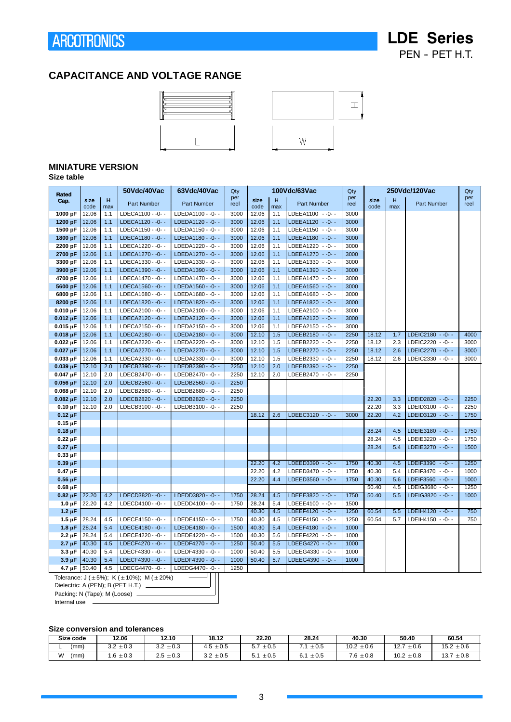### **CAPACITANCE AND VOLTAGE RANGE**





### **MINIATURE VERSION**

#### **Size table**

| <b>Rated</b>               |                |            | 50Vdc/40Vac                                                   | 63Vdc/40Vac                             | Qty          |                |            | 100Vdc/63Vac                         | Qty          |       |     | 250Vdc/120Vac      | Qty         |
|----------------------------|----------------|------------|---------------------------------------------------------------|-----------------------------------------|--------------|----------------|------------|--------------------------------------|--------------|-------|-----|--------------------|-------------|
| Cap.                       | size           | н          | <b>Part Number</b>                                            | <b>Part Number</b>                      | per<br>reel  | size           | H          | <b>Part Number</b>                   | per<br>reel  | size  | H   | <b>Part Number</b> | per<br>reel |
|                            | code           | max        |                                                               |                                         |              | code           | max        |                                      |              | code  | max |                    |             |
| 1000 pF                    | 12.06          | 1.1        | LDECA1100 - -0- -                                             | LDEDA1100 - - 0- -                      | 3000         | 12.06          | 1.1        | LDEEA1100 -- 0--                     | 3000         |       |     |                    |             |
| 1200 pF                    | 12.06<br>12.06 | 1.1        | LDECA1120 - - 0- -                                            | LDEDA1120 - - 0- -                      | 3000         | 12.06<br>12.06 | 1.1<br>1.1 | LDEEA1120 -- 0--<br>LDEEA1150 -- 0-- | 3000<br>3000 |       |     |                    |             |
| 1500 pF<br>1800 pF         | 12.06          | 1.1<br>1.1 | LDECA1150 - - 0- -<br>LDECA1180 - - 0- -                      | LDEDA1150 - - 0- -                      | 3000<br>3000 | 12.06          | 1.1        | LDEEA1180 -- 0--                     | 3000         |       |     |                    |             |
| 2200 pF                    | 12.06          | 1.1        | LDECA1220 - - 0- -                                            | LDEDA1180 - -0- -<br>LDEDA1220 - - 0- - | 3000         | 12.06          | 1.1        | LDEEA1220 -- 0--                     | 3000         |       |     |                    |             |
| 2700 pF                    | 12.06          | 1.1        | LDECA1270 - -0- -                                             | LDEDA1270 - -0- -                       | 3000         | 12.06          | 1.1        | LDEEA1270 - - 0- -                   | 3000         |       |     |                    |             |
| 3300 pF                    | 12.06          | 1.1        | LDECA1330 - - 0- -                                            | LDEDA1330 - - 0- -                      | 3000         | 12.06          | 1.1        | LDEEA1330 -- 0--                     | 3000         |       |     |                    |             |
| 3900 pF                    | 12.06          | 1.1        | LDECA1390 - - 0- -                                            | LDEDA1390 - - 0- -                      | 3000         | 12.06          | 1.1        | LDEEA1390 -- 0--                     | 3000         |       |     |                    |             |
| 4700 pF                    | 12.06          | 1.1        | LDECA1470 - - 0- -                                            | LDEDA1470 - - 0- -                      | 3000         | 12.06          | 1.1        | LDEEA1470 -- 0--                     | 3000         |       |     |                    |             |
| 5600 pF                    | 12.06          | 1.1        | LDECA1560 - -0- -                                             | LDEDA1560 - -0- -                       | 3000         | 12.06          | 1.1        | LDEEA1560 -- 0--                     | 3000         |       |     |                    |             |
| 6800 pF                    | 12.06          | 1.1        | LDECA1680 - - 0- -                                            | LDEDA1680 - - 0- -                      | 3000         | 12.06          | 1.1        | LDEEA1680 -- 0--                     | 3000         |       |     |                    |             |
| 8200 pF                    | 12.06          | 1.1        | LDECA1820 - - 0- -                                            | LDEDA1820 - - 0- -                      | 3000         | 12.06          | 1.1        | LDEEA1820 -- 0--                     | 3000         |       |     |                    |             |
| $0.010 \,\mu F$            | 12.06          | 1.1        | LDECA2100 - - 0- -                                            | LDEDA2100 - - 0- -                      | 3000         | 12.06          | 1.1        | LDEEA2100 -- 0--                     | 3000         |       |     |                    |             |
| $0.012 \mu F$              | 12.06          | 1.1        | LDECA2120 - - 0- -                                            | LDEDA2120 - - 0- -                      | 3000         | 12.06          | 1.1        | LDEEA2120 - - 0- -                   | 3000         |       |     |                    |             |
| $0.015 \,\mu F$            | 12.06          | 1.1        | LDECA2150 - - 0- -                                            | LDEDA2150 - - 0- -                      | 3000         | 12.06          | 1.1        | LDEEA2150 -- 0--                     | 3000         |       |     |                    |             |
| $0.018 \mu F$              | 12.06          | 1.1        | LDECA2180 - - 0- -                                            | LDEDA2180 - - 0- -                      | 3000         | 12.10          | 1.5        | LDEEB2180 -- 0- -                    | 2250         | 18.12 | 1.7 | LDEIC2180 - - 0- - | 4000        |
| $0.022 \mu F$              | 12.06          | 1.1        | LDECA2220 - - 0- -                                            | LDEDA2220 - - 0- -                      | 3000         | 12.10          | 1.5        | LDEEB2220 -- 0--                     | 2250         | 18.12 | 2.3 | LDEIC2220 - - 0- - | 3000        |
| $0.027 \mu F$              | 12.06          | 1.1        | LDECA2270 - - 0- -                                            | LDEDA2270 - - 0- -                      | 3000         | 12.10          | 1.5        | LDEEB2270 - - 0- -                   | 2250         | 18.12 | 2.6 | LDEIC2270 - - 0- - | 3000        |
| $0.033 \mu F$              | 12.06          | 1.1        | LDECA2330 - - 0- -                                            | LDEDA2330 - - 0- -                      | 3000         | 12.10          | 1.5        | LDEEB2330 -- 0--                     | 2250         | 18.12 | 2.6 | LDEIC2330 - - 0- - | 3000        |
| $0.039 \mu F$              | 12.10          | 2.0        | LDECB2390 - - 0- -                                            | LDEDB2390 - - 0- -                      | 2250         | 12.10          | 2.0        | LDEEB2390 -- 0--                     | 2250         |       |     |                    |             |
| $0.047 \mu F$              | 12.10          | 2.0        | LDECB2470 - - 0- -                                            | LDEDB2470 - - 0- -                      | 2250         | 12.10          | 2.0        | LDEEB2470 -- 0--                     | 2250         |       |     |                    |             |
| $0.056 \,\mu F$            | 12.10          | 2.0        | LDECB2560 - - 0- -                                            | LDEDB2560 - - 0- -                      | 2250         |                |            |                                      |              |       |     |                    |             |
| $0.068 \,\mu F$            | 12.10          | 2.0        | LDECB2680 - - 0- -                                            | LDEDB2680 - - 0- -                      | 2250         |                |            |                                      |              |       |     |                    |             |
| $0.082 \mu F$              | 12.10          | 2.0        | LDECB2820 - - 0- -                                            | LDEDB2820 - - 0- -                      | 2250         |                |            |                                      |              | 22.20 | 3.3 | LDEID2820 - - 0- - | 2250        |
| $0.10 \mu F$               | 12.10          | 2.0        | LDECB3100 - -0- -                                             | LDEDB3100 - -0- -                       | 2250         |                |            |                                      |              | 22.20 | 3.3 | LDEID3100 - - 0- - | 2250        |
| $0.12 \mu F$               |                |            |                                                               |                                         |              | 18.12          | 2.6        | LDEEC3120 - - 0- -                   | 3000         | 22.20 | 4.2 | LDEID3120 - - 0- - | 1750        |
| $0.15 \mu F$               |                |            |                                                               |                                         |              |                |            |                                      |              |       |     |                    |             |
| $0.18 \mu F$               |                |            |                                                               |                                         |              |                |            |                                      |              | 28.24 | 4.5 | LDEIE3180 - - 0- - | 1750        |
| $0.22 \mu F$               |                |            |                                                               |                                         |              |                |            |                                      |              | 28.24 | 4.5 | LDEIE3220 - - 0- - | 1750        |
| $0.27 \mu F$               |                |            |                                                               |                                         |              |                |            |                                      |              | 28.24 | 5.4 | LDEIE3270 - - 0- - | 1500        |
| $0.33 \mu F$               |                |            |                                                               |                                         |              |                |            |                                      |              |       |     |                    |             |
| $0.39 \mu F$               |                |            |                                                               |                                         |              | 22.20          | 4.2        | LDEED3390 -- 0--                     | 1750         | 40.30 | 4.5 | LDEIF3390 -- 0--   | 1250        |
| $0.47 \mu F$               |                |            |                                                               |                                         |              | 22.20          | 4.2        | LDEED3470 -- 0--                     | 1750         | 40.30 | 5.4 | LDEIF3470 - - 0- - | 1000        |
| $0.56 \mu F$               |                |            |                                                               |                                         |              | 22.20          | 4.4        | LDEED3560 - - 0- -                   | 1750         | 40.30 | 5.6 | LDEIF3560 - - 0- - | 1000        |
| $0.68 \mu F$               |                |            |                                                               |                                         |              |                |            |                                      |              | 50.40 | 4.5 | LDEIG3680 - - 0- - | 1250        |
| $0.82 \mu F$               | 22.20          | 4.2        | LDECD3820 - -0- -                                             | LDEDD3820 - - 0- -                      | 1750         | 28.24<br>28.24 | 4.5        | LDEEE3820 -- 0--                     | 1750         | 50.40 | 5.5 | LDEIG3820 - - 0- - | 1000        |
| $1.0 \mu F$                | 22.20          | 4.2        | LDECD4100 - - 0- -                                            | LDEDD4100 - - 0- -                      | 1750         | 40.30          | 5.4<br>4.5 | LDEEE4100 -- 0--<br>LDEEF4120 -- 0-- | 1500<br>1250 | 60.54 | 5.5 | LDEIH4120 - - 0- - | 750         |
| $1.2 \mu F$<br>$1.5 \mu F$ | 28.24          | 4.5        | LDECE4150 - - 0- -                                            | LDEDE4150 - - 0- -                      | 1750         | 40.30          | 4.5        | LDEEF4150 -- 0--                     | 1250         | 60.54 | 5.7 | LDEIH4150 - - 0- - | 750         |
| $1.8 \mu F$                | 28.24          | 5.4        | LDECE4180 - - 0- -                                            | LDEDE4180 - - 0- -                      | 1500         | 40.30          | 5.4        | LDEEF4180 -- 0--                     | 1000         |       |     |                    |             |
| $2.2 \mu F$                | 28.24          | 5.4        | LDECE4220 - -0- -                                             | LDEDE4220 - -0- -                       | 1500         | 40.30          | 5.6        | LDEEF4220 -- 0--                     | 1000         |       |     |                    |             |
| $2.7 \mu F$                | 40.30          | 4.5        | LDECF4270 - - 0- -                                            | LDEDF4270 - - 0- -                      | 1250         | 50.40          | 5.5        | LDEEG4270 - - 0- -                   | 1000         |       |     |                    |             |
| $3.3 \mu F$                | 40.30          | 5.4        | LDECF4330 - - 0- -                                            | LDEDF4330 - - 0- -                      | 1000         | 50.40          | 5.5        | LDEEG4330 -- 0--                     | 1000         |       |     |                    |             |
| $3.9 \mu F$                | 40.30          | 5.4        | LDECF4390 - - 0- -                                            | LDEDF4390 - - 0- -                      | 1000         | 50.40          | 5.7        | LDEEG4390 - - 0- -                   | 1000         |       |     |                    |             |
| 4.7 µF                     | 50.40          | 4.5        | LDECG4470--0--                                                | LDEDG4470--0--                          | 1250         |                |            |                                      |              |       |     |                    |             |
|                            |                |            | Tolerance: $J (\pm 5\%)$ ; K ( $\pm 10\%$ ); M ( $\pm 20\%$ ) |                                         |              |                |            |                                      |              |       |     |                    |             |
|                            |                |            |                                                               |                                         |              |                |            |                                      |              |       |     |                    |             |

Tolerance: J (±5%); K (±10%); M (±20%)<br>Dielectric: A (PEN); B (PET H.T.) \_\_\_\_\_\_\_\_ Internal use Packing: N (Tape); M (Loose) -

#### **Size conversion and tolerances**

| Size code        | 12.06                                  | 12.10            | 18.12            | 22.20                   | 28.24             | 40.30                  | 50.40                  | 60.54             |
|------------------|----------------------------------------|------------------|------------------|-------------------------|-------------------|------------------------|------------------------|-------------------|
| (mm)             | $\Omega$<br>$\sim$ $\sim$<br>3.2 ± U.3 | $3.2 \pm 0.3$    | $\pm 0.5$<br>4.5 | $\pm 0.5$<br>- -<br>J.I | $\pm 0.5$         | 10.2<br>$\pm 0.6$      | 107<br>$\pm 0.6$<br>z. | $\pm 0.6$<br>15.2 |
| M<br>(mm)<br>v v | $\Omega$<br>±U.3<br>⊸ ס.               | 2.5<br>$\pm 0.3$ | $3.2 \pm 0.5$    | ± 0.5<br><u>.</u>       | $\pm 0.5$<br>υ. ι | $7.6 \pm$<br>$\pm 0.8$ | 10.2<br>$\pm 0.8$      | $\pm 0.8$<br>13.7 |

3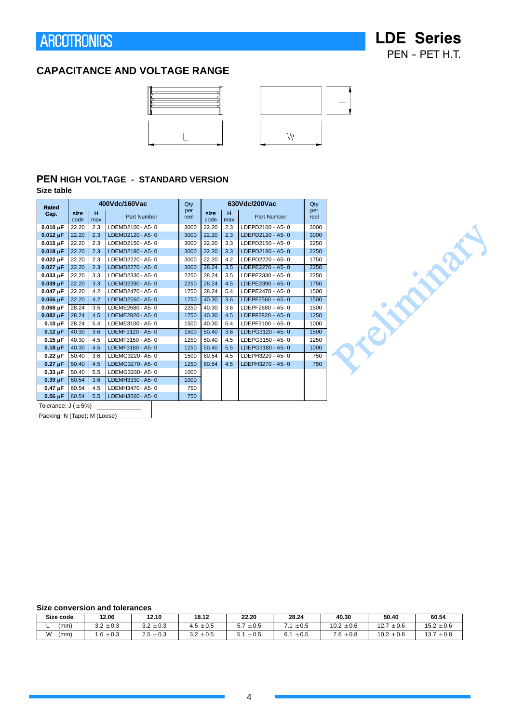**LDE Series** PEN - PET H.T.

### **CAPACITANCE AND VOLTAGE RANGE**



### **PEN HIGH VOLTAGE - STANDARD VERSION**

#### **Size table**

| <b>Rated</b>        |              |          | 400Vdc/160Vac    | Qty         |              |          | 630Vdc/200Vac    | Qty         |
|---------------------|--------------|----------|------------------|-------------|--------------|----------|------------------|-------------|
| Cap.                | size<br>code | н<br>max | Part Number      | per<br>reel | size<br>code | н<br>max | Part Number      | per<br>reel |
| $0.010 \,\mu F$     | 22.20        | 2.3      | LDEMD2100 - A5-0 | 3000        | 22.20        | 2.3      | LDEPD2100 - A5-0 | 3000        |
| $0.012 \mu F$       | 22.20        | 2.3      | LDEMD2120 - A5-0 | 3000        | 22.20        | 2.3      | LDEPD2120 - A5-0 | 3000        |
| $0.015$ uF          | 22.20        | 2.3      | LDEMD2150 - A5-0 | 3000        | 22.20        | 3.3      | LDEPD2150 - A5-0 | 2250        |
| $0.018 \mu F$       | 22.20        | 2.3      | LDEMD2180 - A5-0 | 3000        | 22.20        | 3.3      | LDEPD2180 - A5-0 | 2250        |
| $0.022 \mu F$       | 22.20        | 2.3      | LDEMD2220 - A5-0 | 3000        | 22.20        | 4.2      | LDEPD2220 - A5-0 | 1750        |
| $0.027$ uF          | 22.20        | 2.3      | LDEMD2270 - A5-0 | 3000        | 28.24        | 3.5      | LDEPE2270 - A5-0 | 2250        |
| $0.033 \mu F$       | 22.20        | 3.3      | LDEMD2330 - A5-0 | 2250        | 28.24        | 3.5      | LDEPE2330 - A5-0 | 2250        |
| $0.039 \,\mu F$     | 22.20        | 3.3      | LDEMD2390 - A5-0 | 2250        | 28.24        | 4.5      | LDEPE2390 - A5-0 | 1750        |
| $0.047 \mu F$       | 22.20        | 4.2      | LDEMD2470 - A5-0 | 1750        | 28.24        | 5.4      | LDEPE2470 - A5-0 | 1500        |
| $0.056 \mu F$       | 22.20        | 4.2      | LDEMD2560 - A5-0 | 1750        | 40.30        | 3.6      | LDEPF2560 - A5-0 | 1500        |
| $0.068$ uF          | 28.24        | 3.5      | LDEME2680 - A5-0 | 2250        | 40.30        | 3.6      | LDEPF2680 - A5-0 | 1500        |
| $0.082 \,\mu F$     | 28.24        | 4.5      | LDEME2820 - A5-0 | 1750        | 40.30        | 4.5      | LDEPF2820 - A5-0 | 1250        |
| $0.10 \mu F$        | 28.24        | 5.4      | LDEME3100 - A5-0 | 1500        | 40.30        | 5.4      | LDEPF3100 - A5-0 | 1000        |
| $0.12 \mu F$        | 40.30        | 3.6      | LDEMF3120 - A5-0 | 1500        | 50.40        | 3.6      | LDEPG3120 - A5-0 | 1500        |
| $0.15 \mu F$        | 40.30        | 4.5      | LDEMF3150 - A5-0 | 1250        | 50.40        | 4.5      | LDEPG3150 - A5-0 | 1250        |
| $0.18 \mu F$        | 40.30        | 4.5      | LDEMF3180 - A5-0 | 1250        | 50.40        | 5.5      | LDEPG3180 - A5-0 | 1000        |
| $0.22 \text{ uF}$   | 50.40        | 3.6      | LDEMG3220-A5-0   | 1500        | 60.54        | 4.5      | LDEPH3220 - A5-0 | 750         |
| $0.27 \mu F$        | 50.40        | 4.5      | LDEMG3270-A5-0   | 1250        | 60.54        | 4.5      | LDEPH3270 - A5-0 | 750         |
| $0.33 \text{ uF}$   | 50.40        | 5.5      | LDEMG3330-A5-0   | 1000        |              |          |                  |             |
| $0.39 \mu F$        | 60.54        | 3.6      | LDEMH3390 - A5-0 | 1000        |              |          |                  |             |
| $0.47 \mu F$        | 60.54        | 4.5      | LDEMH3470 - A5-0 | 750         |              |          |                  |             |
| $0.56$ uF           | 60.54        | 5.5      | LDEMH3560 - A5-0 | 750         |              |          |                  |             |
| $T - 1 - 1 - 1 - 1$ |              |          |                  |             |              |          |                  |             |

Tolerance:  $J(\pm 5\%)$ 

Packing: N (Tape); M (Loose) \_\_\_

#### **Size conversion and tolerances**

| Size code | 12.06                          | 12.10         | 18.12            | 22.20            | 28.24                              | 40.30                          | 50.40                   | 60.54             |
|-----------|--------------------------------|---------------|------------------|------------------|------------------------------------|--------------------------------|-------------------------|-------------------|
| (mm)      | $3.2 \pm 0.3$<br>$\sim$ $\sim$ | $3.2 \pm 0.3$ | $\pm 0.5$<br>4.5 | r 7<br>$\pm 0.5$ | $\pm 0.5$                          | 10.2<br>$\pm 0.6$              | 12.7<br>$\pm 0.6$       | $15.2 \pm 0.6$    |
| W<br>(mm) | $\pm 0.3$<br>$6^{\circ}$       | $2.5 \pm 0.3$ | $3.2 \pm 0.5$    | $\pm 0.5$        | $\pm 0.5$<br>$\sim$ $\sim$<br>ו .ס | $7.6 \rightarrow$<br>$\pm 0.8$ | $10.2 \pm$<br>$\pm 0.8$ | 13.7<br>$\pm 0.8$ |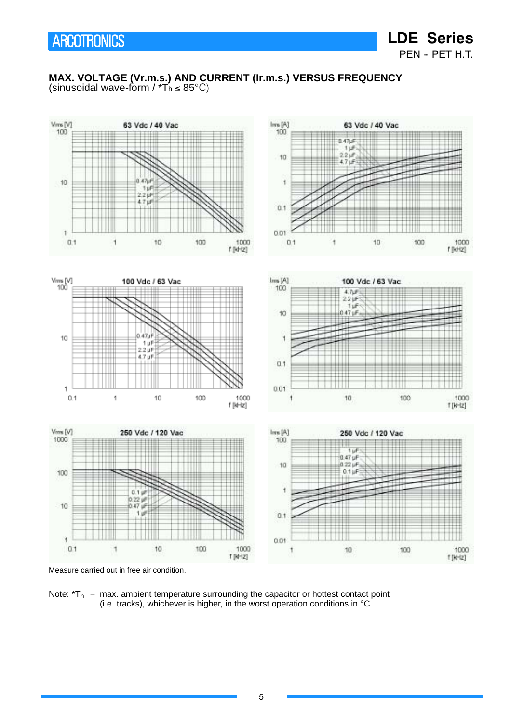**LDE Series** PEN - PET H.T.

### **MAX. VOLTAGE (Vr.m.s.) AND CURRENT (Ir.m.s.) VERSUS FREQUENCY** (sinusoidal wave-form /  $\mathbf{r}_{\mathsf{h}} \leq 85^{\circ} \text{C}$ )



Measure carried out in free air condition.

Note:  $T_h$  = max. ambient temperature surrounding the capacitor or hottest contact point (i.e. tracks), whichever is higher, in the worst operation conditions in  $°C$ .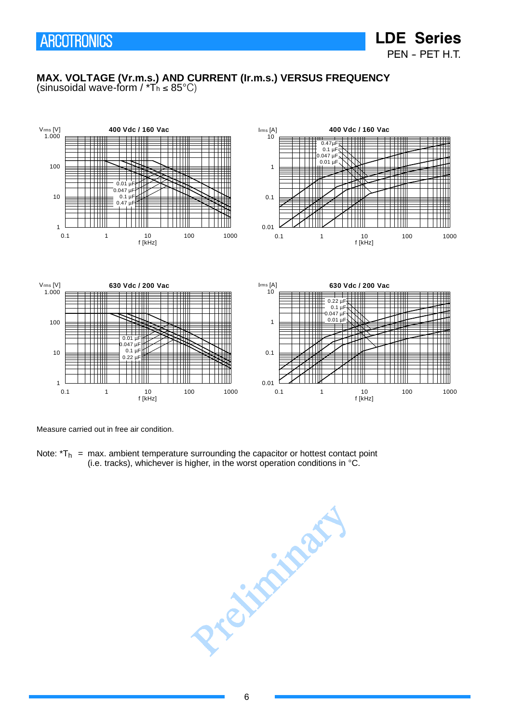PEN - PET H.T.

**LDE Series**

#### **MAX. VOLTAGE (Vr.m.s.) AND CURRENT (Ir.m.s.) VERSUS FREQUENCY** (sinusoidal wave-form /  $*T_h \leq 85^{\circ}C$ )







Measure carried out in free air condition.

Note:  $T_h$  = max. ambient temperature surrounding the capacitor or hottest contact point (i.e. tracks), whichever is higher, in the worst operation conditions in  $°C$ .

President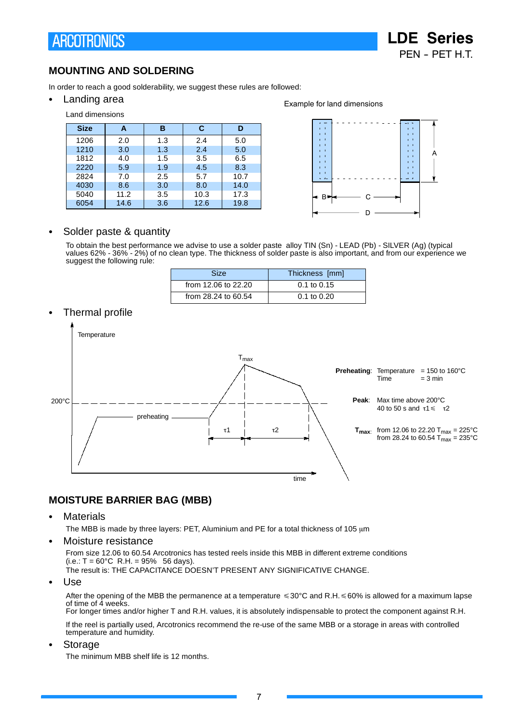**LDE Series** PFN - PFT H.T.

### **MOUNTING AND SOLDERING**

In order to reach a good solderability, we suggest these rules are followed:

• Landing area

#### Land dimensions **Size A B C D** 1206 | 2.0 | 1.3 | 2.4 | 5.0 1210 | 3.0 | 1.3 | 2.4 | 5.0 1812 4.0 4.5 3.5 6.5 2220 5.9 1.9 4.5 8.3 2824 7.0 2.5 5.7 10.7 4030 | 8.6 | 3.0 | 8.0 | 14.0 5040 11.2 3.5 10.3 17.3 6054 14.6 3.6 12.6 19.8

![](_page_6_Figure_6.jpeg)

![](_page_6_Figure_7.jpeg)

### Solder paste & quantity

To obtain the best performance we advise to use a solder paste alloy TIN (Sn) - LEAD (Pb) - SILVER (Ag) (typical values 62% - 36% - 2%) of no clean type. The thickness of solder paste is also important, and from our experience we suggest the following rule:

| <b>Size</b>         | Thickness [mm]  |
|---------------------|-----------------|
| from 12.06 to 22.20 | $0.1$ to $0.15$ |
| from 28.24 to 60.54 | $0.1$ to $0.20$ |

### Thermal profile

![](_page_6_Figure_12.jpeg)

### **MOISTURE BARRIER BAG (MBB)**

• Materials

The MBB is made by three layers: PET, Aluminium and PE for a total thickness of 105 μm

Moisture resistance

From size 12.06 to 60.54 Arcotronics has tested reels inside this MBB in different extreme conditions  $(i.e.: T = 60^{\circ}C$  R.H. = 95% 56 days). The result is: THE CAPACITANCE DOESN'T PRESENT ANY SIGNIFICATIVE CHANGE.

Use

After the opening of the MBB the permanence at a temperature  $\leq 30^{\circ}$ C and R.H.  $\leq 60\%$  is allowed for a maximum lapse of time of 4 weeks. For longer times and/or higher T and R.H. values, it is absolutely indispensable to protect the component against R.H.

If the reel is partially used, Arcotronics recommend the re-use of the same MBB or a storage in areas with controlled temperature and humidity.

**Storage** 

The minimum MBB shelf life is 12 months.